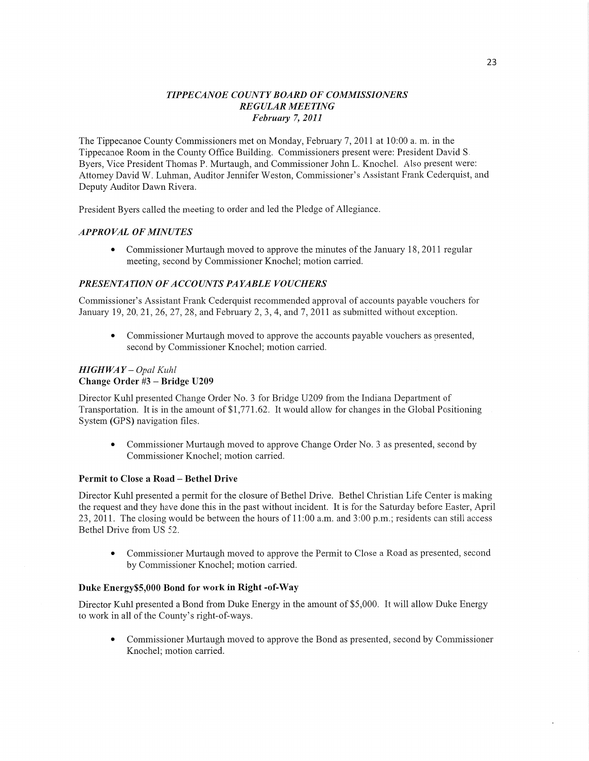### *T IPPE CANOE* C0 *UNTY BOARD* OF *COMMISSIONERS REGULAR MEETING February* 7, *2011*

The Tippecanoe County Commissioners met on Monday, February 7, 2011 at 10:00 a.m. in the Tippecanoe Room in the County Office Building. Commissioners present were: President David S. Byers, Vice President Thomas P. Murtaugh, and Commissioner John L. Knochel. Also present were: Attomey David W. Luhman, Auditor Jennifer Weston, Commissioner's Assistant Frank Cederquist, and Deputy Auditor Dawn Rivera.

President Byers called the meeting to order and led the Pledge of Allegiance.

### *APPROVAL* OF *MINUTES*

**0** Commissioner Murtaugh moved to approve the minutes of the January 18, 2011 regular meeting, second by Commissioner Knochel; motion carried.

### **PRESENTATION OF ACCOUNTS PAYABLE VOUCHERS**

Commissioner's Assistant Frank Cederquist recommended approval of accounts payable vouchers for January 19, 20, 21, 26, 27, 28, and February 2, 3, 4, and 7, 2011 as submitted without exception.

**0** Commissioner Murtaugh moved to approve the accounts payable vouchers as presented, second by Commissioner Knochel; motion carried.

### *HIGH* WAY — *Opal Kuhl*  **Change** Order #3 — Bridge **U209**

Director Kuhl presented Change Order No. 3 for Bridge U209 from the Indiana Department of Transportation. It is in the amount of \$1,771.62. It would allow for changes in the Global Positioning System (GPS) navigation files.

**0** Commissioner Murtaugh moved to approve Change Order No. 3 as presented, second by Commissioner Knochel; motion carried.

### Permit to Close **a Road** — **Bethe] Drive**

Director Kuhl presented a permit for the closure of Bethel Drive. Bethel Christian Life Center is making the request and they have done this in the past without incident. It is for the Saturday before Easter, April 23, 2011. The closing would be between the hours of  $11:00$  a.m. and  $3:00$  p.m.; residents can still access Bethel Drive from US 52.

**0** Commissioner Murtaugh moved to approve the Permit to Close a Road as presented, second by Commissioner Knochel; motion carried.

#### **Duke Energy\$5,000 Bond** for work in Right -of-Way

Director Kuhl presented a Bond from Duke Energy in the amount of \$5,000. It will allow Duke Energy to work in all of the County's right-of—ways,

**0** Commissioner Murtaugh moved to approve the Bond as presented, second by Commissioner Knochel; motion carried.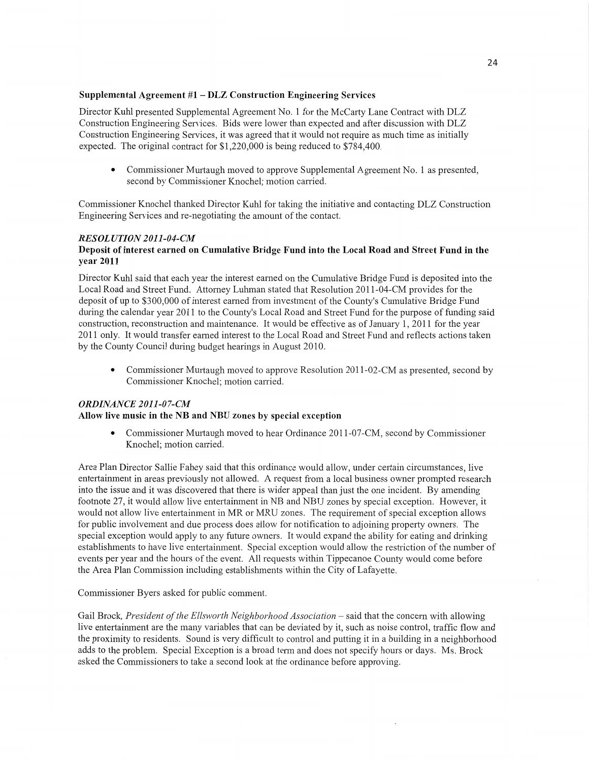### **Supplemental Agreement** #1 **—** DLZ **Construction Engineering Services**

Director Kuhl presented Supplemental Agreement No. l for the McCarty Lane Contract with DLZ Construction Engineering Services. Bids were lower than expected and after discussion with DLZ Construction Engineering Services, it was agreed that it would not require as much time as initially expected. The original contract for \$1,220,000 is being reduced to \$784,400.

**0** Commissioner Murtaugh moved to approve Supplemental Agreement No. **1** as presented, second by Commissioner Knochel; motion carried.

Commissioner Knochel **thanked** Director Kuhl for taking the initiative and contacting DLZ Construction Engineering Services and re-negotiating the amount of the contact.

#### *RESOLUT10N2011-04-CM*  **Deposit** of **interest earned** on **Cumulative Bridge Fund into** the **Local Road** and **Street Fund** in the **year 2011**

Director Kuhl said **that** each year the interest earned on the Cumulative Bridge **Fund** is deposited into the Local Road and Street Fund. Attorney Luhman stated that Resolution 201 1-04—CM provides for the deposit of up to \$300,000 of interest earned from investment of the County's Cumulative Bridge Fund during the calendar year 2011 to the County's Local Road and Street Fund for the purpose of funding said construction, reconstruction and maintenance. It would be effective as of January 1, 2011 for the year 2011 only. It would transfer earned interest to the Local Road and Street **Fund** and reflects actions taken by the County Council during budget hearings in August 2010.

**0** Commissioner Murtaugh moved to approve Resolution 2011-02-CM as presented, second by Commissioner Knochel; motion carried.

### *ORDINANCE 2011-0 7-CM*

### **Allow** live **music** in the NB and NBU **zones** by **special exception**

• Commissioner Murtaugh moved to hear Ordinance 2011-07-CM, second by Commissioner Knochel; motion carried.

Area Plan Director Sallie Fahey said that this ordinance would allow, under certain circumstances, live entertainment in areas previously not allowed. **A** request from a local business owner prompted research into the issue and it was discovered that there is wider appeal than just the one incident. By amending **footnote** 27, it would allow live entertainment in NB and NBU zones by special exception. However, it would not allow live entertainment in MR or MRU zones. The requirement of special exception allows for public involvement and due process does allow for notification to adjoining property owners. The special exception would apply to any future owners. It would expand the ability for eating and drinking establishments to have live entertainment. Special exception would allow the restriction of the number of events per year and the hours of the event. All requests Within Tippecanoe County would come before the Area Plan Commission including establishments within the City of Lafayette.

#### Commissioner Byers asked for public **comment.**

Gail Brock, *President* of the *Ellsworth Neighborhood Association* **—** said that the concern with allowing live entertainment are the many variables that can be deviated by it, **such** as noise control, traffic flow and the proximity to residents. **Sound** is very difficult to control and putting it in a building in a neighborhood adds to the problem. Special Exception is a broad term and does not specify hours or days. Ms. Brock asked the Commissioners to take a **second** look at the ordinance before approving.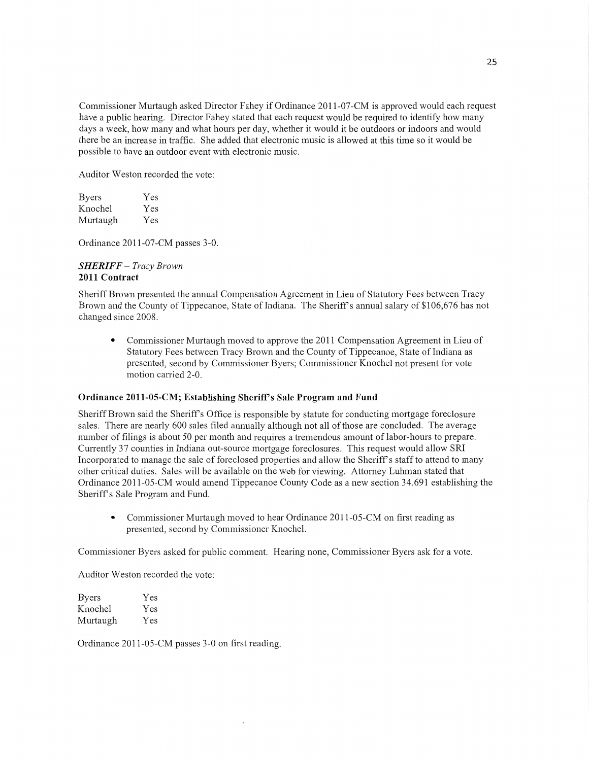Commissioner Murtaugh asked Director Fahey if Ordinance 2011-O7-CM is approved would each reques<sup>t</sup> have a public hearing. Director Fahey stated **that** each request would be required to identify how many days a week, how many and what hours per day, whether it would it be outdoors or indoors and would there be an increase in traffic. She added that electronic **music** is allowed at this time so it would be possible to have an outdoor event with electronic music.

Auditor Weston recorded the vote:

| <b>Byers</b> | Yes |
|--------------|-----|
| Knochel      | Yes |
| Murtaugh     | Yes |

Ordinance 2011-07-CM passes 3-0.

#### *SHERIFF* — *Tracy Brown*  **2011 Contract**

Sheriff Brown presented the amlual Compensation Agreement in Lieu of Statutory Fees between Tracy Brown and the County of Tippecanoe, State of Indiana. The Sheriff's annual salary of \$106,676 has not changed since 2008.

**0** Commissioner Murtaugh moved to approve the 2011 Compensation Agreement in Lieu of Statutory Fees between Tracy Brown and the County of Tippecanoe, State of Indiana as presented, second by Commissioner Byers; Commissioner Knochel not present for vote motion carried 2-0.

### **Ordinance 2011-05—CM; Establishing** Sheriff's **Sale** Program and **Fund**

Sheriff Brown said the Sheriff's Office is responsible by statute for conducting mortgage foreclosure sales. There are nearly 600 sales filed annually although not all of those are concluded. The average number of filings is about 50 per **month** and requires a tremendous amount of labor-hours to prepare. Currently 37 counties in Indiana out-source mortgage foreclosures. This request would allow SRI Incorporated to manage the sale of foreclosed properties and allow the Sheriff's staff to attend to many other critical duties. Sales will be available on the web for viewing. Attorney Luhman stated that Ordinance 2011-05—CM would amend Tippecanoe County Code as a new section 34.691 establishing the Sheriff's Sale Program and Fund.

**0** Commissioner Murtaugh moved to hear Ordinance 2011-05-CM on first reading as presented, second by Commissioner Knochel.

Commissioner Byers asked for public comment. Hearing **none,** Commissioner Byers ask for a vote.

Auditor Weston recorded the vote:

Byers Yes Knochel Yes Murtaugh Yes

Ordinance 2011-05—CM passes 3-0 on **first** reading.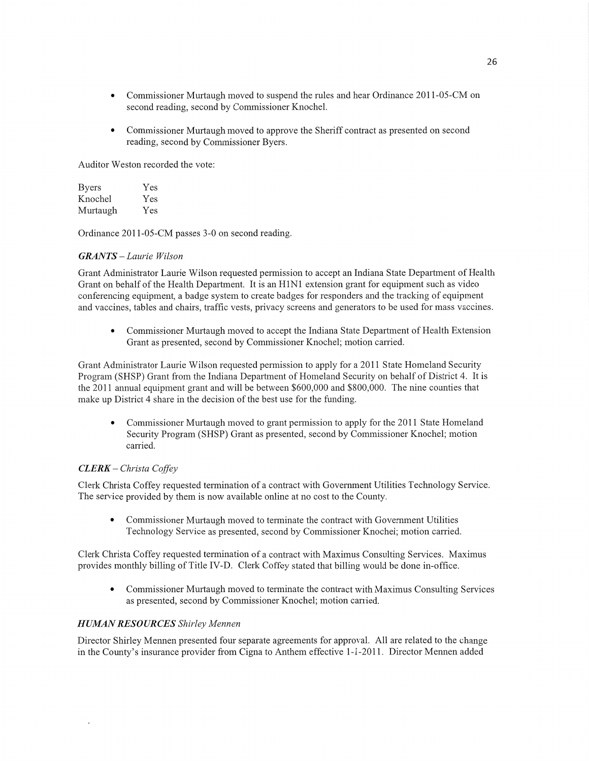- **0** Commissioner Murtaugh moved to suspend the rules and hear Ordinance 2011-05-CM on second reading, second by Commissioner Knochel.
- **0** Commissioner Murtaugh moved to approve the Sheriff contract as presented on second reading, second by Commissioner Byers.

Auditor Weston recorded the vote:

| <b>Byers</b> | Yes |
|--------------|-----|
| Knochel      | Yes |
| Murtaugh     | Yes |

Ordinance 2011-05-CM passes 3—0 on second reading.

### *GRANTS* — *Laurie Wilson*

Grant Administrator Laurie Wilson requested permission to accept an Indiana State Department of Health Grant on behalf of the Health Department. It is an H1N1 extension grant for equipment such as video conferencing equipment, a badge system to create badges for responders and the tracking of equipment and vaccines, tables and chairs, traffic vests, privacy screens and generators to be used for mass vaccines.

**0** Commissioner Murtaugh moved to accept the Indiana State Department of Health Extension Grant as presented, second by Commissioner Knochel; motion carried.

Grant Administrator Laurie Wilson requested permission to apply for a 2011 State Homeland Security Program (SHSP) Grant from the Indiana Department of Homeland Security on behalf of District 4. It is the 2011 annual equipment grant and will be between \$600,000 and \$800,000. The nine counties that make up District 4 share in the decision of the best use for the funding.

**0** Commissioner Murtaugh moved to grant permission to apply for the 2011 State Homeland Security Program (SHSP) Grant as presented, second by Commissioner Knochel; motion carried.

## *CLERK — Christa Cofi'ey*

Clerk Christa Coffey requested termination of a contract with Govemment Utilities Technology Service. The service provided by them is now available online at no cost to the County.

• Commissioner Murtaugh moved to terminate the contract with Government Utilities Technology Service as presented, second by Commissioner Knochel; motion carried.

Clerk Christa Coffey requested termination of a contract with Maximus Consulting Services. Maximus provides monthly billing of Title IV-D. Clerk Coffey stated that billing would be done in-office.

**0** Commissioner Murtaugh moved to terminate the contract with Maximus Consulting Services as presented, second by Commissioner Knochel; motion carried.

### *HUMAN RESOURCES Shirley Mennen*

 $\ddot{\phantom{a}}$ 

Director Shirley Mennen presented four separate agreements for approval. All are related to the change in the County's insurance provider from Cigna to Anthem effective 1-1-2011. Director Mennen added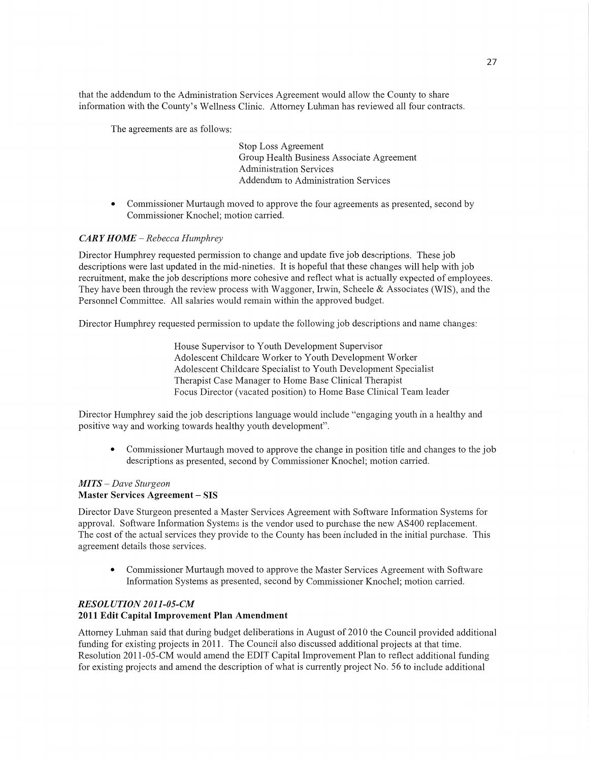that the addendum to the Administration Services Agreement would allow the County to share information with the County's Wellness Clinic. Attorney Luhman has reviewed all four contracts.

The agreements are as follows:

Stop **Loss** Agreement Group Health **Business** Associate Agreement Administration Services Addendum to Administration Services

**0** Commissioner Murtaugh moved to approve the four agreements as presented, second by Commissioner Knochel; motion carried.

### *CARY HOME* — *Rebecca Humphrey*

Director Humphrey requested permission to change and update five job descriptions. These job descriptions were **last** updated in the mid-nineties. It is hopeful that these changes will help with job recruitment, make the job descriptions more cohesive and reflect what is actually expected of employees. They have been through the review process with Waggoner, Irwin, Scheele & Associates (WIS), and the Personnel Committee. All salaries would remain within the approved budget.

Director Humphrey requested permission to update the following job descriptions and name changes:

House Supervisor to Youth Development Supervisor Adolescent Childcare Worker to Youth Development Worker Adolescent Childcare Specialist to Youth Development Specialist Therapist Case Manager to Home Base Clinical Therapist Focus Director (vacated position) to Home Base Clinical Team leader

Director Humphrey said the job descriptions language would include "engaging youth in a healthy and positive way and working towards healthy youth development".

**0** Commissioner Murtaugh **moved** to approve the change in position title and changes to the job descriptions as presented, second by Commissioner Knochel; motion carried.

#### MI TS *— Dave Sturgeon*  **Master Services Agreement —** SIS

Director Dave Sturgeon presented a Master Services Agreement with Software **Information** Systems for approval. Software Information Systems is the vendor used to purchase the new AS400 replacement. The **cost** of the actual services they provide to the County has been included in the initial purchase. This agreement details those services.

**0** Commissioner Murtaugh moved to approve the Master Services Agreement with Software Information Systems as presented, second by Commissioner Knochel; motion carried.

### *RESOLUTION 2011-05-CM*  **2011 Edit Capital Improvement** Plan Amendment

Attorney Luhman said that during budget deliberations in August of 2010 the Council provided additional funding for existing projects in 2011. The Council also discussed additional projects at that **time.**  Resolution 2011—05—CM would amend the EDIT Capital Improvement Plan to reflect additional funding for existing projects and **amend** the description of what is currently project No. 56 to include additional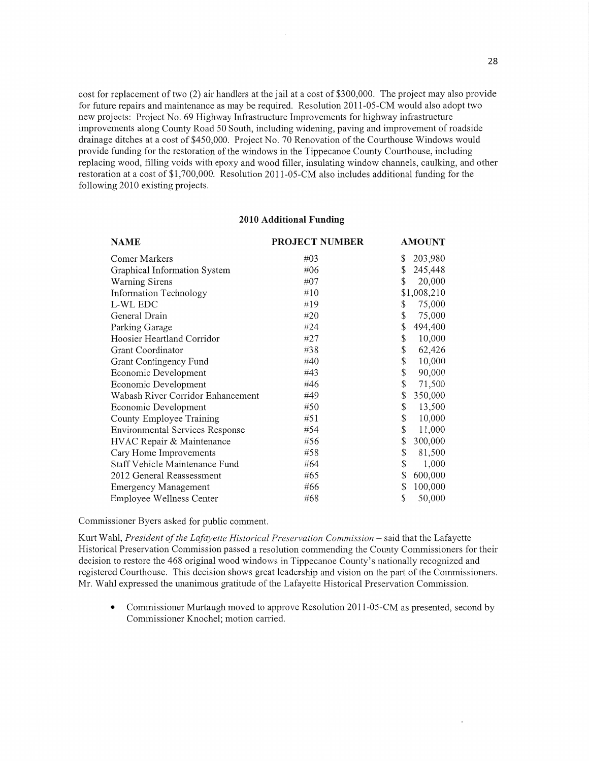cost for replacement of two (2) air handlers at the jail at a cost of \$3 00,000. The project may also provide for future repairs and maintenance as may be required. Resolution 2011—05-CM would also adopt two new projects: Project No. 69 Highway Infrastructure Improvements for highway infrastructure improvements along County Road 50 South, including widening, paving and improvement of roadside drainage ditches at a cost of \$450,000. Project No. 70 Renovation of the Courthouse Windows would provide funding for the restoration of the windows in the Tippecanoe County Courthouse, including replacing wood, filling voids with epoxy and wood filler, insulating Window channels, caulking, and other restoration at a cost of \$1,700,000. Resolution 2011-05-CM also includes additional funding for the following 2010 existing projects.

#### **2010 Additional Funding**

| <b>NAME</b>                            | <b>PROJECT NUMBER</b> | <b>AMOUNT</b> |
|----------------------------------------|-----------------------|---------------|
| Comer Markers                          | #03                   | \$<br>203,980 |
| Graphical Information System           | #06                   | \$<br>245,448 |
| Warning Sirens                         | #07                   | \$<br>20,000  |
| <b>Information Technology</b>          | #10                   | \$1,008,210   |
| L-WL EDC                               | #19                   | \$<br>75,000  |
| General Drain                          | #20                   | \$<br>75,000  |
| Parking Garage                         | #24                   | \$<br>494,400 |
| Hoosier Heartland Corridor             | #27                   | \$<br>10,000  |
| Grant Coordinator                      | #38                   | \$<br>62,426  |
| Grant Contingency Fund                 | #40                   | \$<br>10,000  |
| Economic Development                   | #43                   | \$<br>90,000  |
| Economic Development                   | #46                   | \$<br>71,500  |
| Wabash River Corridor Enhancement      | #49                   | \$<br>350,000 |
| Economic Development                   | #50                   | \$<br>13,500  |
| County Employee Training               | #51                   | \$<br>10,000  |
| <b>Environmental Services Response</b> | #54                   | \$<br>11,000  |
| HVAC Repair & Maintenance              | #56                   | \$<br>300,000 |
| Cary Home Improvements                 | #58                   | \$<br>81,500  |
| Staff Vehicle Maintenance Fund         | #64                   | \$<br>1,000   |
| 2012 General Reassessment              | #65                   | \$<br>600,000 |
| <b>Emergency Management</b>            | #66                   | \$<br>100,000 |
| <b>Employee Wellness Center</b>        | #68                   | \$<br>50,000  |

Commissioner Byers asked for public comment.

Kurt Wahl, *President of the Lafayette Historical Preservation Commission* – said that the Lafayette Historical Preservation Commission passed a resolution commending the County Commissioners for their decision to restore the 468 original wood Windows in Tippecanoe County's nationally recognized and registered Courthouse. This decision shows great leadership and vision on the part of the Commissioners. Mr. Wahl expressed the unanimous gratitude of the Lafayette Historical Presewation Commission.

• Commissioner Murtaugh moved to approve Resolution 2011-05-CM as presented, second by Commissioner Knochel; motion carried.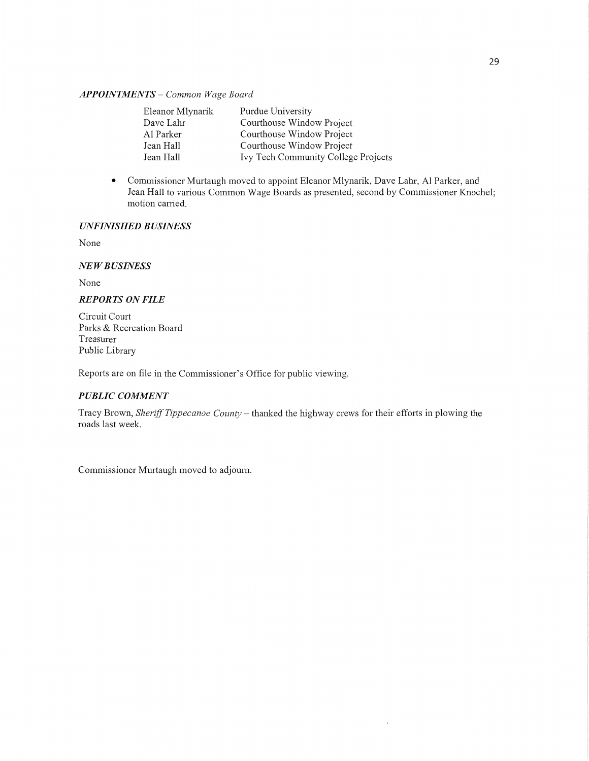#### *APPOINTMENTS* **—** *Common Wage Board*

| Eleanor Mlynarik | Purdue University                   |
|------------------|-------------------------------------|
| Dave Lahr        | Courthouse Window Project           |
| Al Parker        | Courthouse Window Project           |
| Jean Hall        | Courthouse Window Project           |
| Jean Hall        | Ivy Tech Community College Projects |

**0** Commissioner Murtaugh moved to appoint Eleanor Mlynarik, Dave Lahr, A1 Parker, and Jean Hall to various **Common** Wage Boards as presented, second by Commissioner Knochel; motion carried.

## *UNFINISHED BUSINESS*

None

### NE *WBUSINESS*

None

## *REPORTS* ON *FILE*

Circuit Court Parks & Recreation Board Treasurer Public Library

Reports are on file in the Commissioner's Office for public viewing.

### *PUBLIC COMMENT*

Tracy Brown, *Sheriff Tippecanoe County —* thanked the highway crews for their efforts in plowing the roads last week.

Commissioner Murtaugh moved to adjourn.